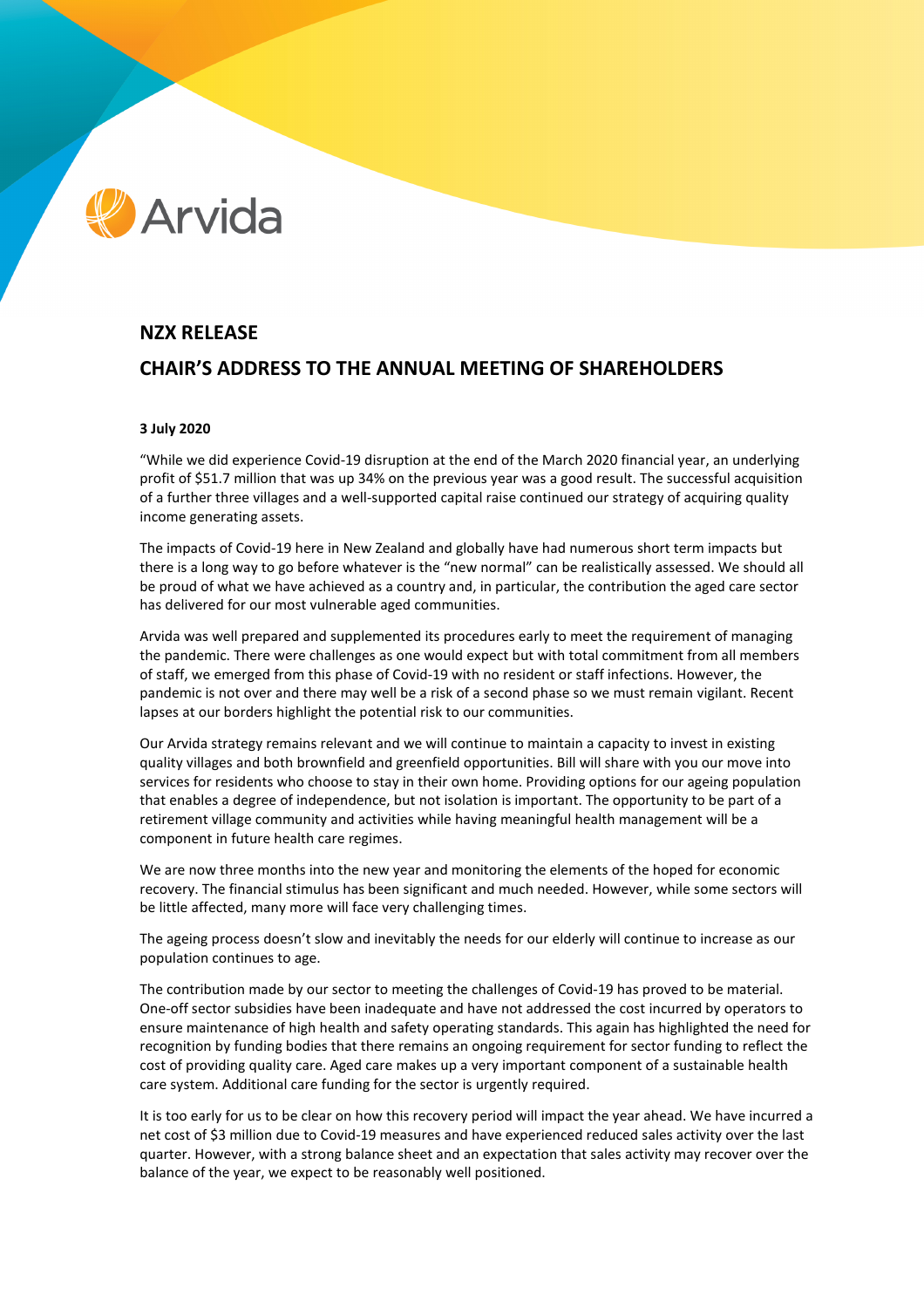# **Arvida**

## **NZX RELEASE**

## **CHAIR'S ADDRESS TO THE ANNUAL MEETING OF SHAREHOLDERS**

### **3 July 2020**

"While we did experience Covid-19 disruption at the end of the March 2020 financial year, an underlying profit of \$51.7 million that was up 34% on the previous year was a good result. The successful acquisition of a further three villages and a well-supported capital raise continued our strategy of acquiring quality income generating assets.

The impacts of Covid-19 here in New Zealand and globally have had numerous short term impacts but there is a long way to go before whatever is the "new normal" can be realistically assessed. We should all be proud of what we have achieved as a country and, in particular, the contribution the aged care sector has delivered for our most vulnerable aged communities.

Arvida was well prepared and supplemented its procedures early to meet the requirement of managing the pandemic. There were challenges as one would expect but with total commitment from all members of staff, we emerged from this phase of Covid-19 with no resident or staff infections. However, the pandemic is not over and there may well be a risk of a second phase so we must remain vigilant. Recent lapses at our borders highlight the potential risk to our communities.

Our Arvida strategy remains relevant and we will continue to maintain a capacity to invest in existing quality villages and both brownfield and greenfield opportunities. Bill will share with you our move into services for residents who choose to stay in their own home. Providing options for our ageing population that enables a degree of independence, but not isolation is important. The opportunity to be part of a retirement village community and activities while having meaningful health management will be a component in future health care regimes.

We are now three months into the new year and monitoring the elements of the hoped for economic recovery. The financial stimulus has been significant and much needed. However, while some sectors will be little affected, many more will face very challenging times.

The ageing process doesn't slow and inevitably the needs for our elderly will continue to increase as our population continues to age.

The contribution made by our sector to meeting the challenges of Covid-19 has proved to be material. One-off sector subsidies have been inadequate and have not addressed the cost incurred by operators to ensure maintenance of high health and safety operating standards. This again has highlighted the need for recognition by funding bodies that there remains an ongoing requirement for sector funding to reflect the cost of providing quality care. Aged care makes up a very important component of a sustainable health care system. Additional care funding for the sector is urgently required.

It is too early for us to be clear on how this recovery period will impact the year ahead. We have incurred a net cost of \$3 million due to Covid-19 measures and have experienced reduced sales activity over the last quarter. However, with a strong balance sheet and an expectation that sales activity may recover over the balance of the year, we expect to be reasonably well positioned.